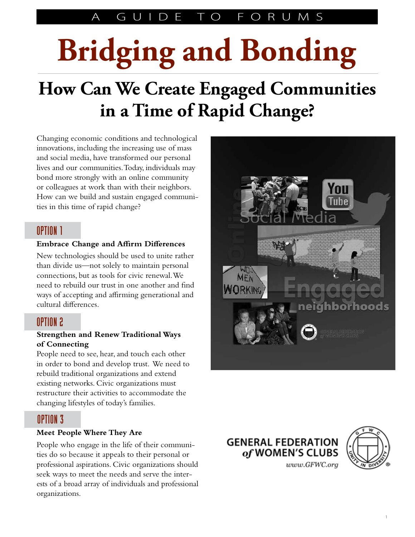### A GUIDE TO FORUMS

# **Bridging and Bonding**

# **How Can We Create Engaged Communities in a Time of Rapid Change?**

Changing economic conditions and technological innovations, including the increasing use of mass and social media, have transformed our personal lives and our communities. Today, individuals may bond more strongly with an online community or colleagues at work than with their neighbors. How can we build and sustain engaged communities in this time of rapid change?

### OPTION 1

#### **Embrace Change and Affirm Differences**

New technologies should be used to unite rather than divide us—not solely to maintain personal connections, but as tools for civic renewal. We need to rebuild our trust in one another and find ways of accepting and affirming generational and cultural differences.

### OPTION 2

#### **Strengthen and Renew Traditional Ways of Connecting**

People need to see, hear, and touch each other in order to bond and develop trust. We need to rebuild traditional organizations and extend existing networks. Civic organizations must restructure their activities to accommodate the changing lifestyles of today's families.

### OPTION 3

#### **Meet People Where They Are**

People who engage in the life of their communities do so because it appeals to their personal or professional aspirations. Civic organizations should seek ways to meet the needs and serve the interests of a broad array of individuals and professional organizations.





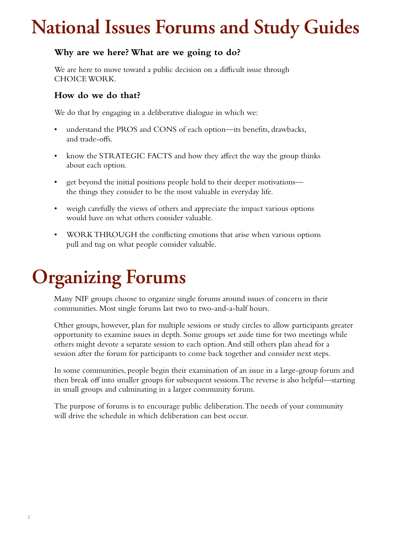# **National Issues Forums and Study Guides**

#### **Why are we here? What are we going to do?**

We are here to move toward a public decision on a difficult issue through CHOICE WORK.

#### **How do we do that?**

We do that by engaging in a deliberative dialogue in which we:

- understand the PROS and CONS of each option—its benefits, drawbacks, and trade-offs.
- know the STRATEGIC FACTS and how they affect the way the group thinks about each option.
- get beyond the initial positions people hold to their deeper motivations the things they consider to be the most valuable in everyday life.
- weigh carefully the views of others and appreciate the impact various options would have on what others consider valuable.
- WORK THROUGH the conflicting emotions that arise when various options pull and tug on what people consider valuable.

# **Organizing Forums**

Many NIF groups choose to organize single forums around issues of concern in their communities. Most single forums last two to two-and-a-half hours.

Other groups, however, plan for multiple sessions or study circles to allow participants greater opportunity to examine issues in depth. Some groups set aside time for two meetings while others might devote a separate session to each option.And still others plan ahead for a session after the forum for participants to come back together and consider next steps.

In some communities, people begin their examination of an issue in a large-group forum and then break off into smaller groups for subsequent sessions. The reverse is also helpful—starting in small groups and culminating in a larger community forum.

The purpose of forums is to encourage public deliberation. The needs of your community will drive the schedule in which deliberation can best occur.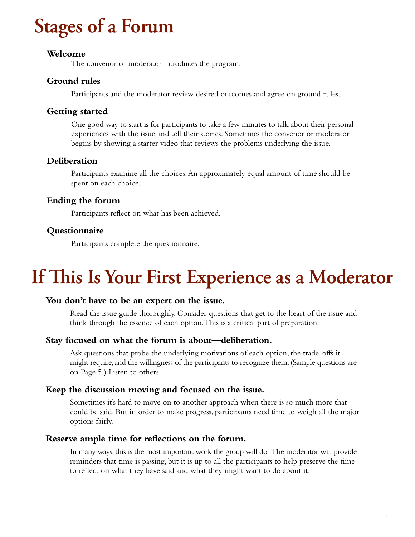# **Stages of a Forum**

#### **Welcome**

The convenor or moderator introduces the program.

#### **Ground rules**

Participants and the moderator review desired outcomes and agree on ground rules.

#### **Getting started**

One good way to start is for participants to take a few minutes to talk about their personal experiences with the issue and tell their stories. Sometimes the convenor or moderator begins by showing a starter video that reviews the problems underlying the issue.

#### **Deliberation**

Participants examine all the choices.An approximately equal amount of time should be spent on each choice.

#### **Ending the forum**

Participants reflect on what has been achieved.

#### **Questionnaire**

Participants complete the questionnaire.

### **If This Is Your First Experience as a Moderator**

#### **You don't have to be an expert on the issue.**

Read the issue guide thoroughly. Consider questions that get to the heart of the issue and think through the essence of each option. This is a critical part of preparation.

#### **Stay focused on what the forum is about—deliberation.**

Ask questions that probe the underlying motivations of each option, the trade-offs it might require, and the willingness of the participants to recognize them. (Sample questions are on Page 5.) Listen to others.

#### **Keep the discussion moving and focused on the issue.**

Sometimes it's hard to move on to another approach when there is so much more that could be said. But in order to make progress, participants need time to weigh all the major options fairly.

#### **Reserve ample time for reflections on the forum.**

In many ways, this is the most important work the group will do. The moderator will provide reminders that time is passing, but it is up to all the participants to help preserve the time to reflect on what they have said and what they might want to do about it.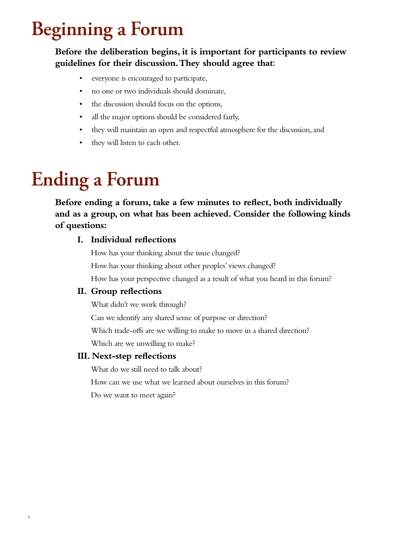# **Beginning a Forum**

### **Before the deliberation begins, it is important for participants to review guidelines for their discussion. They should agree that**:

- • everyone is encouraged to participate,
- no one or two individuals should dominate,
- the discussion should focus on the options,
- all the major options should be considered fairly,
- they will maintain an open and respectful atmosphere for the discussion, and
- they will listen to each other.

# **Ending a Forum**

**Before ending a forum, take a few minutes to reflect, both individually and as a group, on what has been achieved. Consider the following kinds of questions:**

#### **I. Individual reflections**

 How has your thinking about the issue changed? How has your thinking about other peoples' views changed?

How has your perspective changed as a result of what you heard in this forum?

#### **II. Group reflections**

What didn't we work through?

Can we identify any shared sense of purpose or direction?

Which trade-offs are we willing to make to move in a shared direction?

Which are we unwilling to make?

#### **III. Next-step reflections**

What do we still need to talk about?

How can we use what we learned about ourselves in this forum?

Do we want to meet again?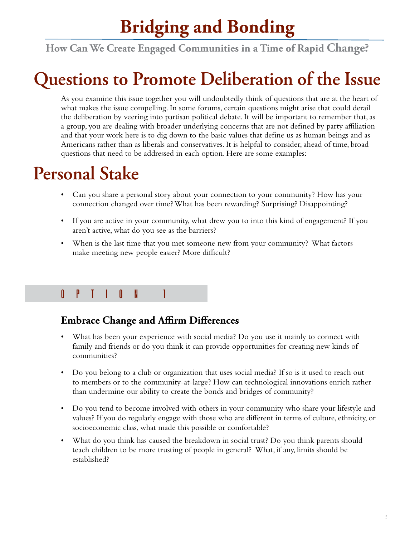### **Bridging and Bonding**

**How Can We Create Engaged Communities in a Time of Rapid Change?**

## **Questions to Promote Deliberation of the Issue**

As you examine this issue together you will undoubtedly think of questions that are at the heart of what makes the issue compelling. In some forums, certain questions might arise that could derail the deliberation by veering into partisan political debate. It will be important to remember that, as a group, you are dealing with broader underlying concerns that are not defined by party affiliation and that your work here is to dig down to the basic values that define us as human beings and as Americans rather than as liberals and conservatives. It is helpful to consider, ahead of time, broad questions that need to be addressed in each option. Here are some examples:

### **Personal Stake**

- Can you share a personal story about your connection to your community? How has your connection changed over time?What has been rewarding? Surprising? Disappointing?
- If you are active in your community, what drew you to into this kind of engagement? If you aren't active, what do you see as the barriers?
- When is the last time that you met someone new from your community? What factors make meeting new people easier? More difficult?

### OPTION 1

### **Embrace Change and Affirm Differences**

- What has been your experience with social media? Do you use it mainly to connect with family and friends or do you think it can provide opportunities for creating new kinds of communities?
- Do you belong to a club or organization that uses social media? If so is it used to reach out to members or to the community-at-large? How can technological innovations enrich rather than undermine our ability to create the bonds and bridges of community?
- Do you tend to become involved with others in your community who share your lifestyle and values? If you do regularly engage with those who are different in terms of culture, ethnicity, or socioeconomic class, what made this possible or comfortable?
- What do you think has caused the breakdown in social trust? Do you think parents should teach children to be more trusting of people in general? What, if any, limits should be established?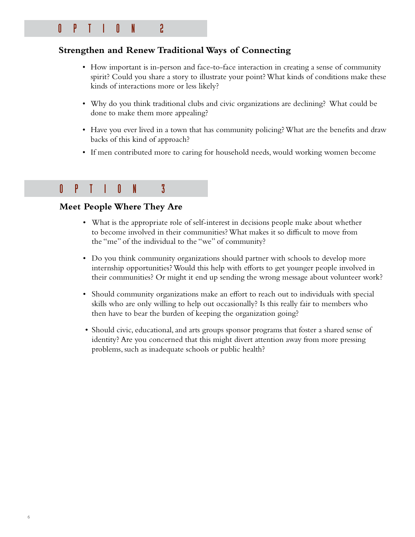### OPTION 2

#### **Strengthen and Renew Traditional Ways of Connecting**

- How important is in-person and face-to-face interaction in creating a sense of community spirit? Could you share a story to illustrate your point? What kinds of conditions make these kinds of interactions more or less likely?
- Why do you think traditional clubs and civic organizations are declining? What could be done to make them more appealing?
- Have you ever lived in a town that has community policing? What are the benefits and draw backs of this kind of approach?
- If men contributed more to caring for household needs, would working women become

### OPTION 3

#### **Meet People Where They Are**

- What is the appropriate role of self-interest in decisions people make about whether to become involved in their communities? What makes it so difficult to move from the "me" of the individual to the "we" of community?
- Do you think community organizations should partner with schools to develop more internship opportunities? Would this help with efforts to get younger people involved in their communities? Or might it end up sending the wrong message about volunteer work?
- Should community organizations make an effort to reach out to individuals with special skills who are only willing to help out occasionally? Is this really fair to members who then have to bear the burden of keeping the organization going?
- Should civic, educational, and arts groups sponsor programs that foster a shared sense of identity? Are you concerned that this might divert attention away from more pressing problems, such as inadequate schools or public health?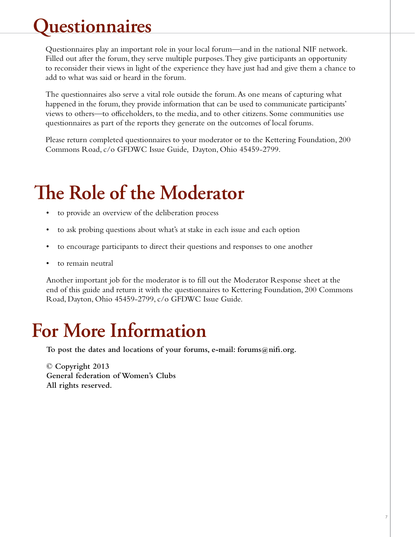# **Questionnaires**

Questionnaires play an important role in your local forum—and in the national NIF network. Filled out after the forum, they serve multiple purposes.They give participants an opportunity to reconsider their views in light of the experience they have just had and give them a chance to add to what was said or heard in the forum.

The questionnaires also serve a vital role outside the forum.As one means of capturing what happened in the forum, they provide information that can be used to communicate participants' views to others—to officeholders, to the media,and to other citizens. Some communities use questionnaires as part of the reports they generate on the outcomes of local forums.

Please return completed questionnaires to your moderator or to the Kettering Foundation, 200 Commons Road, c/o GFDWC Issue Guide, Dayton, Ohio 45459-2799.

# **The Role of the Moderator**

- to provide an overview of the deliberation process
- to ask probing questions about what's at stake in each issue and each option
- to encourage participants to direct their questions and responses to one another
- to remain neutral

Another important job for the moderator is to fill out the Moderator Response sheet at the end of this guide and return it with the questionnaires to Kettering Foundation, 200 Commons Road, Dayton, Ohio 45459-2799, c/o GFDWC Issue Guide.

### **For More Information**

**To post the dates and locations of your forums, e-mail: forums@nifi.org.**

**© Copyright 2013 General federation of Women's Clubs All rights reserved.**